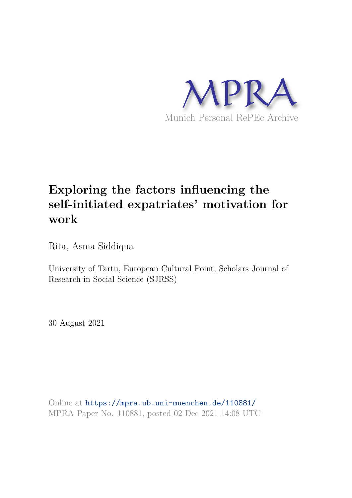

# **Exploring the factors influencing the self-initiated expatriates' motivation for work**

Rita, Asma Siddiqua

University of Tartu, European Cultural Point, Scholars Journal of Research in Social Science (SJRSS)

30 August 2021

Online at https://mpra.ub.uni-muenchen.de/110881/ MPRA Paper No. 110881, posted 02 Dec 2021 14:08 UTC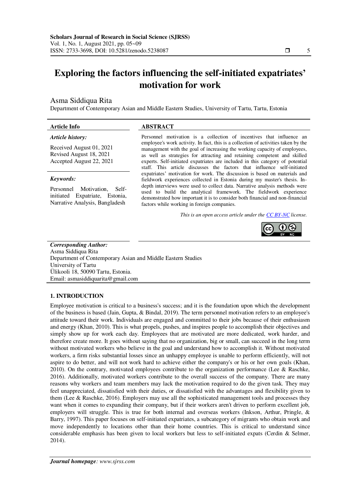# **Exploring the factors influencing the self-initiated expatriates' motivation for work**

# Asma Siddiqua Rita

Department of Contemporary Asian and Middle Eastern Studies, University of Tartu, Tartu, Estonia

# **Article Info ABSTRACT**

#### *Article history:*

Received August 01, 2021 Revised August 18, 2021 Accepted August 22, 2021

#### *Keywords:*

Personnel Motivation, Selfinitiated Expatriate, Estonia, Narrative Analysis, Bangladesh

Personnel motivation is a collection of incentives that influence an employee's work activity. In fact, this is a collection of activities taken by the management with the goal of increasing the working capacity of employees, as well as strategies for attracting and retaining competent and skilled experts. Self-initiated expatriates are included in this category of potential staff. This article discusses the factors that influence self-initiated expatriates' motivation for work. The discussion is based on materials and fieldwork experiences collected in Estonia during my master's thesis. Indepth interviews were used to collect data. Narrative analysis methods were used to build the analytical framework. The fieldwork experience demonstrated how important it is to consider both financial and non-financial factors while working in foreign companies.

*This is an open access article under th[e CC BY-NC](https://creativecommons.org/licenses/by-sa/4.0/) license.* 



*Corresponding Author:*  Asma Siddiqua Rita Department of Contemporary Asian and Middle Eastern Studies University of Tartu Ülikooli 18, 50090 Tartu, Estonia. Email: asmasiddiquarita@gmail.com

# **1. INTRODUCTION**

Employee motivation is critical to a business's success; and it is the foundation upon which the development of the business is based (Jain, Gupta, & Bindal, 2019). The term personnel motivation refers to an employee's attitude toward their work. Individuals are engaged and committed to their jobs because of their enthusiasm and energy (Khan, 2010). This is what propels, pushes, and inspires people to accomplish their objectives and simply show up for work each day. Employees that are motivated are more dedicated, work harder, and therefore create more. It goes without saying that no organization, big or small, can succeed in the long term without motivated workers who believe in the goal and understand how to accomplish it. Without motivated workers, a firm risks substantial losses since an unhappy employee is unable to perform efficiently, will not aspire to do better, and will not work hard to achieve either the company's or his or her own goals (Khan, 2010). On the contrary, motivated employees contribute to the organization performance (Lee & Raschke, 2016). Additionally, motivated workers contribute to the overall success of the company. There are many reasons why workers and team members may lack the motivation required to do the given task. They may feel unappreciated, dissatisfied with their duties, or dissatisfied with the advantages and flexibility given to them (Lee & Raschke, 2016). Employers may use all the sophisticated management tools and processes they want when it comes to expanding their company, but if their workers aren't driven to perform excellent job, employers will struggle. This is true for both internal and overseas workers (Inkson, Arthur, Pringle, & Barry, 1997). This paper focuses on self-initiated expatriates, a subcategory of migrants who obtain work and move independently to locations other than their home countries. This is critical to understand since considerable emphasis has been given to local workers but less to self-initiated expats (Cerdin & Selmer, 2014).

Ī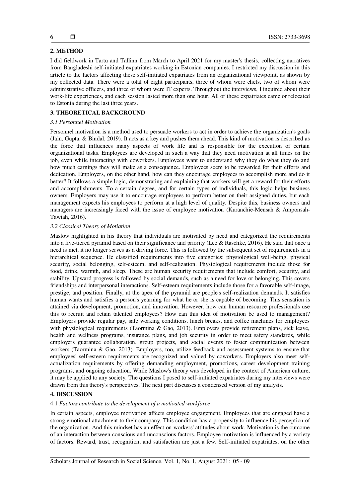# **2. METHOD**

I did fieldwork in Tartu and Tallinn from March to April 2021 for my master's thesis, collecting narratives from Bangladeshi self-initiated expatriates working in Estonian companies. I restricted my discussion in this article to the factors affecting these self-initiated expatriates from an organizational viewpoint, as shown by my collected data. There were a total of eight participants, three of whom were chefs, two of whom were administrative officers, and three of whom were IT experts. Throughout the interviews, I inquired about their work-life experiences, and each session lasted more than one hour. All of these expatriates came or relocated to Estonia during the last three years.

# **3. THEORETICAL BACKGROUND**

### *3.1 Personnel Motivation*

Personnel motivation is a method used to persuade workers to act in order to achieve the organization's goals (Jain, Gupta, & Bindal, 2019). It acts as a key and pushes them ahead. This kind of motivation is described as the force that influences many aspects of work life and is responsible for the execution of certain organizational tasks. Employees are developed in such a way that they need motivation at all times on the job, even while interacting with coworkers. Employees want to understand why they do what they do and how much earnings they will make as a consequence. Employees seem to be rewarded for their efforts and dedication. Employers, on the other hand, how can they encourage employees to accomplish more and do it better? It follows a simple logic, demonstrating and explaining that workers will get a reward for their efforts and accomplishments. To a certain degree, and for certain types of individuals, this logic helps business owners. Employers may use it to encourage employees to perform better on their assigned duties, but each management expects his employees to perform at a high level of quality. Despite this, business owners and managers are increasingly faced with the issue of employee motivation (Kuranchie-Mensah & Amponsah-Tawiah, 2016).

## *3.2 Classical Theory of Motiation*

Maslow highlighted in his theory that individuals are motivated by need and categorized the requirements into a five-tiered pyramid based on their significance and priority (Lee & Raschke, 2016). He said that once a need is met, it no longer serves as a driving force. This is followed by the subsequent set of requirements in a hierarchical sequence. He classified requirements into five categories: physiological well-being, physical security, social belonging, self-esteem, and self-realization. Physiological requirements include those for food, drink, warmth, and sleep. These are human security requirements that include comfort, security, and stability. Upward progress is followed by social demands, such as a need for love or belonging. This covers friendships and interpersonal interactions. Self-esteem requirements include those for a favorable self-image, prestige, and position. Finally, at the apex of the pyramid are people's self-realization demands. It satisfies human wants and satisfies a person's yearning for what he or she is capable of becoming. This sensation is attained via development, promotion, and innovation. However, how can human resource professionals use this to recruit and retain talented employees? How can this idea of motivation be used to management? Employers provide regular pay, safe working conditions, lunch breaks, and coffee machines for employees with physiological requirements (Taormina & Gao, 2013). Employers provide retirement plans, sick leave, health and wellness programs, insurance plans, and job security in order to meet safety standards, while employers guarantee collaboration, group projects, and social events to foster communication between workers (Taormina & Gao, 2013). Employers, too, utilize feedback and assessment systems to ensure that employees' self-esteem requirements are recognized and valued by coworkers. Employers also meet selfactualization requirements by offering demanding employment, promotions, career development training programs, and ongoing education. While Maslow's theory was developed in the context of American culture, it may be applied to any society. The questions I posed to self-initiated expatriates during my interviews were drawn from this theory's perspectives. The next part discusses a condensed version of my analysis.

# **4. DISCUSSION**

#### 4.1 *Factors contribute to the development of a motivated workforce*

In certain aspects, employee motivation affects employee engagement. Employees that are engaged have a strong emotional attachment to their company. This condition has a propensity to influence his perception of the organization. And this mindset has an effect on workers' attitudes about work. Motivation is the outcome of an interaction between conscious and unconscious factors. Employee motivation is influenced by a variety of factors. Reward, trust, recognition, and satisfaction are just a few. Self-initiated expatriates, on the other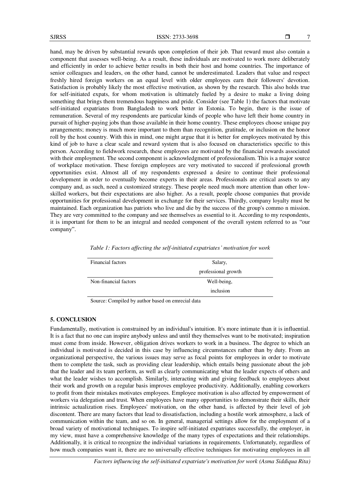hand, may be driven by substantial rewards upon completion of their job. That reward must also contain a component that assesses well-being. As a result, these individuals are motivated to work more deliberately and efficiently in order to achieve better results in both their host and home countries. The importance of senior colleagues and leaders, on the other hand, cannot be underestimated. Leaders that value and respect freshly hired foreign workers on an equal level with older employees earn their followers' devotion. Satisfaction is probably likely the most effective motivation, as shown by the research. This also holds true for self-initiated expats, for whom motivation is ultimately fueled by a desire to make a living doing something that brings them tremendous happiness and pride. Consider (see Table 1) the factors that motivate self-initiated expatriates from Bangladesh to work better in Estonia. To begin, there is the issue of remuneration. Several of my respondents are particular kinds of people who have left their home country in pursuit of higher-paying jobs than those available in their home country. These employees choose unique pay arrangements; money is much more important to them than recognition, gratitude, or inclusion on the honor roll by the host country. With this in mind, one might argue that it is better for employees motivated by this kind of job to have a clear scale and reward system that is also focused on characteristics specific to this person. According to fieldwork research, these employees are motivated by the financial rewards associated with their employment. The second component is acknowledgment of professionalism. This is a major source of workplace motivation. These foreign employees are very motivated to succeed if professional growth opportunities exist. Almost all of my respondents expressed a desire to continue their professional development in order to eventually become experts in their areas. Professionals are critical assets to any company and, as such, need a customized strategy. These people need much more attention than other lowskilled workers, but their expectations are also higher. As a result, people choose companies that provide opportunities for professional development in exchange for their services. Thirdly, company loyalty must be maintained. Each organization has patriots who live and die by the success of the group's commo n mission. They are very committed to the company and see themselves as essential to it. According to my respondents, it is important for them to be an integral and needed component of the overall system referred to as "our company".

| Financial factors     | Salary,             |
|-----------------------|---------------------|
|                       | professional growth |
| Non-financial factors | Well-being,         |
|                       | inclusion           |

*Table 1: Factors affecting the self-initiated expatriates' motivation for work* 

Source: Compiled by author based on emrecial data

#### **5. CONCLUSION**

Fundamentally, motivation is constrained by an individual's intuition. It's more intimate than it is influential. It is a fact that no one can inspire anybody unless and until they themselves want to be motivated; inspiration must come from inside. However, obligation drives workers to work in a business. The degree to which an individual is motivated is decided in this case by influencing circumstances rather than by duty. From an organizational perspective, the various issues may serve as focal points for employees in order to motivate them to complete the task, such as providing clear leadership, which entails being passionate about the job that the leader and its team perform, as well as clearly communicating what the leader expects of others and what the leader wishes to accomplish. Similarly, interacting with and giving feedback to employees about their work and growth on a regular basis improves employee productivity. Additionally, enabling coworkers to profit from their mistakes motivates employees. Employee motivation is also affected by empowerment of workers via delegation and trust. When employees have many opportunities to demonstrate their skills, their intrinsic actualization rises. Employees' motivation, on the other hand, is affected by their level of job discontent. There are many factors that lead to dissatisfaction, including a hostile work atmosphere, a lack of communication within the team, and so on. In general, managerial settings allow for the employment of a broad variety of motivational techniques. To inspire self-initiated expatriates successfully, the employer, in my view, must have a comprehensive knowledge of the many types of expectations and their relationships. Additionally, it is critical to recognize the individual variations in requirements. Unfortunately, regardless of how much companies want it, there are no universally effective techniques for motivating employees in all

*Factors influencing the self-initiated expatriate's motivation for work (Asma Siddiqua Rita)*